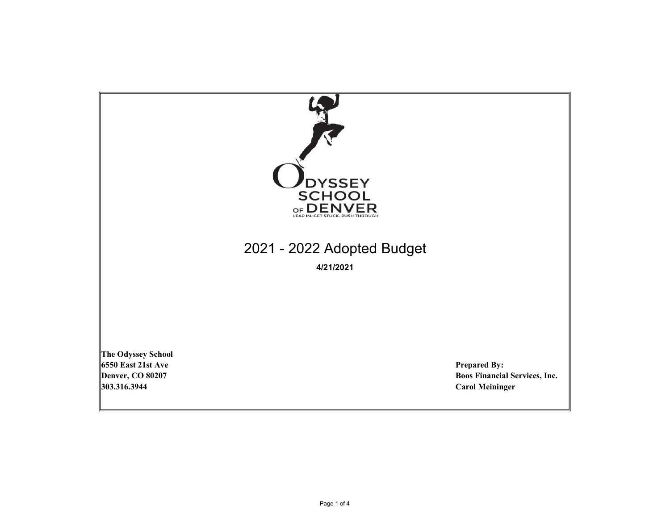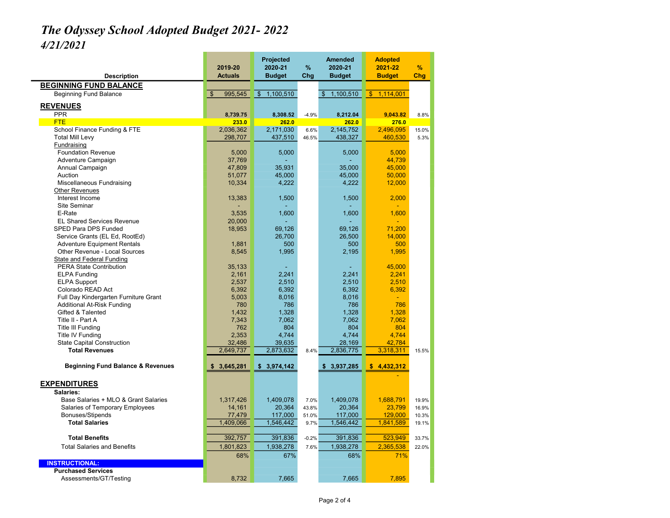## The Odyssey School Adopted Budget 2021- 2022 4/21/2021

| <b>Description</b>                           | 2019-20<br><b>Actuals</b> | Projected<br>2020-21<br><b>Budget</b> | %<br>Chg | <b>Amended</b><br>2020-21<br><b>Budget</b> | <b>Adopted</b><br>2021-22<br><b>Budget</b> | %<br>Chg |
|----------------------------------------------|---------------------------|---------------------------------------|----------|--------------------------------------------|--------------------------------------------|----------|
| <b>BEGINNING FUND BALANCE</b>                |                           |                                       |          |                                            |                                            |          |
|                                              | $\mathbf{s}$<br>995,545   | $\overline{\mathbb{S}}$<br>1,100,510  |          | 1,100,510                                  | 1.114.001                                  |          |
| Beginning Fund Balance                       |                           |                                       |          | \$                                         | $\mathbf{\$}$                              |          |
| <b>REVENUES</b>                              |                           |                                       |          |                                            |                                            |          |
| <b>PPR</b>                                   | 8,739.75                  | 8,308.52                              | $-4.9%$  | 8,212.04                                   | 9,043.82                                   | 8.8%     |
| <b>FTE</b>                                   | 233.0                     | 262.0                                 |          | 262.0                                      | 276.0                                      |          |
| School Finance Funding & FTE                 | 2,036,362                 | 2,171,030                             | 6.6%     | 2,145,752                                  | 2,496,095                                  | 15.0%    |
| <b>Total Mill Levy</b>                       | 298,707                   | 437,510                               | 46.5%    | 438,327                                    | 460,530                                    | 5.3%     |
| Fundraising                                  |                           |                                       |          |                                            |                                            |          |
| <b>Foundation Revenue</b>                    | 5,000                     | 5,000                                 |          | 5,000                                      | 5,000                                      |          |
| Adventure Campaign                           | 37,769                    |                                       |          |                                            | 44,739                                     |          |
| Annual Campaign                              | 47,809                    | 35,931                                |          | 35,000                                     | 45,000                                     |          |
| Auction                                      | 51,077                    | 45,000                                |          | 45,000                                     | 50,000                                     |          |
| Miscellaneous Fundraising                    | 10,334                    | 4,222                                 |          | 4,222                                      | 12,000                                     |          |
| <b>Other Revenues</b>                        |                           |                                       |          |                                            |                                            |          |
| Interest Income                              | 13,383                    | 1,500                                 |          | 1,500                                      | 2,000                                      |          |
| Site Seminar                                 |                           |                                       |          |                                            |                                            |          |
| E-Rate                                       | 3,535                     | 1,600                                 |          | 1,600                                      | 1,600                                      |          |
| <b>EL Shared Services Revenue</b>            | 20,000                    |                                       |          |                                            |                                            |          |
| SPED Para DPS Funded                         | 18,953                    | 69,126                                |          | 69,126                                     | 71,200                                     |          |
| Service Grants (EL Ed, RootEd)               |                           | 26,700                                |          | 26,500                                     | 14,000                                     |          |
| <b>Adventure Equipment Rentals</b>           | 1,881                     | 500                                   |          | 500                                        | 500                                        |          |
| Other Revenue - Local Sources                | 8,545                     | 1,995                                 |          | 2,195                                      | 1,995                                      |          |
| State and Federal Funding                    |                           |                                       |          |                                            |                                            |          |
| <b>PERA State Contribution</b>               | 35,133                    |                                       |          |                                            | 45,000                                     |          |
| <b>ELPA Funding</b>                          | 2,161                     | 2,241                                 |          | 2,241                                      | 2,241                                      |          |
| <b>ELPA Support</b>                          | 2,537                     | 2,510                                 |          | 2,510                                      | 2,510                                      |          |
| Colorado READ Act                            | 6,392                     | 6,392                                 |          | 6,392                                      | 6,392                                      |          |
| Full Day Kindergarten Furniture Grant        | 5,003                     | 8,016                                 |          | 8,016                                      | ÷                                          |          |
| Additional At-Risk Funding                   | 780                       | 786                                   |          | 786                                        | 786                                        |          |
| Gifted & Talented                            | 1,432                     | 1,328                                 |          | 1,328                                      | 1,328                                      |          |
| Title II - Part A                            | 7,343                     | 7,062                                 |          | 7,062                                      | 7,062                                      |          |
| <b>Title III Funding</b>                     | 762                       | 804                                   |          | 804                                        | 804                                        |          |
| Title IV Funding                             | 2,353                     | 4,744                                 |          | 4,744                                      | 4,744                                      |          |
| <b>State Capital Construction</b>            | 32,486                    | 39,635                                |          | 28,169                                     | 42,784                                     |          |
| <b>Total Revenues</b>                        | 2,649,737                 | 2,873,632                             | 8.4%     | 2,836,775                                  | 3,318,311                                  | 15.5%    |
|                                              |                           |                                       |          |                                            |                                            |          |
| <b>Beginning Fund Balance &amp; Revenues</b> | 3,645,281                 | \$3,974,142                           |          | \$3,937,285                                | \$4,432,312                                |          |
| <b>EXPENDITURES</b>                          |                           |                                       |          |                                            |                                            |          |
| Salaries:                                    |                           |                                       |          |                                            |                                            |          |
| Base Salaries + MLO & Grant Salaries         | 1,317,426                 | 1,409,078                             | 7.0%     | 1,409,078                                  | 1,688,791                                  | 19.9%    |
| Salaries of Temporary Employees              | 14,161                    | 20,364                                | 43.8%    | 20,364                                     | 23,799                                     | 16.9%    |
| <b>Bonuses/Stipends</b>                      | 77,479                    | 117,000                               | 51.0%    | 117,000                                    | 129,000                                    | 10.3%    |
| <b>Total Salaries</b>                        | 1,409,066                 | 1,546,442                             | 9.7%     | 1,546,442                                  | 1,841,589                                  | 19.1%    |
|                                              |                           |                                       |          |                                            |                                            |          |
| <b>Total Benefits</b>                        | 392,757                   | 391,836                               | $-0.2%$  | 391,836                                    | 523,949                                    | 33.7%    |
| <b>Total Salaries and Benefits</b>           | 1,801,823                 | 1,938,278                             | 7.6%     | 1,938,278                                  | 2,365,538                                  | 22.0%    |
|                                              | 68%                       | 67%                                   |          | 68%                                        | 71%                                        |          |
| <b>INSTRUCTIONAL:</b>                        |                           |                                       |          |                                            |                                            |          |
| <b>Purchased Services</b>                    |                           |                                       |          |                                            |                                            |          |
| Assessments/GT/Testing                       | 8,732                     | 7,665                                 |          | 7,665                                      | 7,895                                      |          |
|                                              |                           |                                       |          |                                            |                                            |          |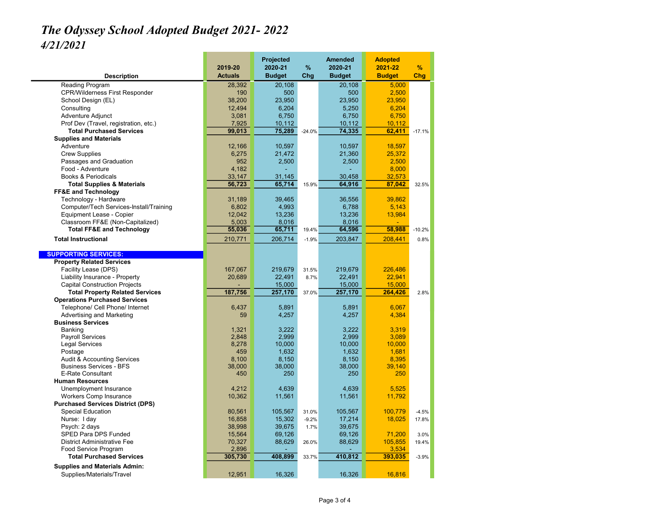## The Odyssey School Adopted Budget 2021- 2022 4/21/2021

| <b>Description</b>                                    | 2019-20<br><b>Actuals</b> | Projected<br>2020-21<br><b>Budget</b> | %<br>Chg | <b>Amended</b><br>2020-21<br><b>Budget</b> | <b>Adopted</b><br>2021-22<br><b>Budget</b> | $\frac{9}{6}$<br>Chg |
|-------------------------------------------------------|---------------------------|---------------------------------------|----------|--------------------------------------------|--------------------------------------------|----------------------|
| Reading Program                                       | 28,392                    | 20,108                                |          | 20,108                                     | 5,000                                      |                      |
| <b>CPR/Wilderness First Responder</b>                 | 190                       | 500                                   |          | 500                                        | 2,500                                      |                      |
| School Design (EL)                                    | 38,200                    | 23,950                                |          | 23,950                                     | 23,950                                     |                      |
| Consulting                                            | 12,494                    | 6,204                                 |          | 5,250                                      | 6,204                                      |                      |
| Adventure Adjunct                                     | 3,081                     | 6,750                                 |          | 6,750                                      | 6,750                                      |                      |
| Prof Dev (Travel, registration, etc.)                 | 7,925                     | 10,112                                |          | 10,112                                     | 10,112                                     |                      |
| <b>Total Purchased Services</b>                       | 99,013                    | 75,289                                | $-24.0%$ | 74,335                                     | 62,411                                     | $-17.1%$             |
| <b>Supplies and Materials</b>                         |                           |                                       |          |                                            |                                            |                      |
| Adventure                                             | 12,166                    | 10,597                                |          | 10.597                                     | 18,597                                     |                      |
| <b>Crew Supplies</b>                                  | 6,275                     | 21,472                                |          | 21,360                                     | 25,372                                     |                      |
| Passages and Graduation                               | 952                       | 2,500                                 |          | 2,500                                      | 2,500                                      |                      |
| Food - Adventure                                      | 4,182                     |                                       |          |                                            | 8,000                                      |                      |
| <b>Books &amp; Periodicals</b>                        | 33,147                    | 31,145                                |          | 30,458                                     | 32,573                                     |                      |
| <b>Total Supplies &amp; Materials</b>                 | 56,723                    | 65,714                                | 15.9%    | 64,916                                     | 87,042                                     | 32.5%                |
| <b>FF&amp;E and Technology</b>                        |                           |                                       |          |                                            |                                            |                      |
| Technology - Hardware                                 | 31,189                    | 39,465                                |          | 36,556                                     | 39,862                                     |                      |
| Computer/Tech Services-Install/Training               | 6,802                     | 4,993                                 |          | 6,788                                      | 5,143                                      |                      |
| Equipment Lease - Copier                              | 12,042                    | 13,236                                |          | 13,236                                     | 13,984                                     |                      |
| Classroom FF&E (Non-Capitalized)                      | 5,003                     | 8,016                                 |          | 8,016                                      |                                            |                      |
| <b>Total FF&amp;E and Technology</b>                  | 55,036                    | 65,711                                | 19.4%    | 64,596                                     | 58,988                                     | $-10.2%$             |
| <b>Total Instructional</b>                            | 210,771                   | 206,714                               | $-1.9%$  | 203,847                                    | 208.441                                    | 0.8%                 |
|                                                       |                           |                                       |          |                                            |                                            |                      |
| <b>SUPPORTING SERVICES:</b>                           |                           |                                       |          |                                            |                                            |                      |
| <b>Property Related Services</b>                      |                           |                                       |          |                                            |                                            |                      |
| Facility Lease (DPS)                                  | 167,067                   | 219,679                               | 31.5%    | 219,679                                    | 226,486                                    |                      |
| Liability Insurance - Property                        | 20,689                    | 22,491                                | 8.7%     | 22,491                                     | 22,941                                     |                      |
| <b>Capital Construction Projects</b>                  |                           | 15,000                                |          | 15,000                                     | 15,000                                     |                      |
| <b>Total Property Related Services</b>                | 187,756                   | 257,170                               | 37.0%    | 257,170                                    | 264,426                                    | 2.8%                 |
| <b>Operations Purchased Services</b>                  |                           |                                       |          |                                            |                                            |                      |
| Telephone/ Cell Phone/ Internet                       | 6,437<br>59               | 5,891                                 |          | 5,891                                      | 6,067                                      |                      |
| Advertising and Marketing<br><b>Business Services</b> |                           | 4,257                                 |          | 4,257                                      | 4,384                                      |                      |
| <b>Banking</b>                                        | 1,321                     | 3,222                                 |          | 3,222                                      | 3,319                                      |                      |
| <b>Payroll Services</b>                               | 2,848                     | 2,999                                 |          | 2,999                                      | 3,089                                      |                      |
| <b>Legal Services</b>                                 | 8,278                     | 10,000                                |          | 10,000                                     | 10,000                                     |                      |
| Postage                                               | 459                       | 1,632                                 |          | 1,632                                      | 1,681                                      |                      |
| <b>Audit &amp; Accounting Services</b>                | 8,100                     | 8,150                                 |          | 8,150                                      | 8,395                                      |                      |
| <b>Business Services - BFS</b>                        | 38,000                    | 38,000                                |          | 38,000                                     | 39,140                                     |                      |
| <b>E-Rate Consultant</b>                              | 450                       | 250                                   |          | 250                                        | 250                                        |                      |
| <b>Human Resources</b>                                |                           |                                       |          |                                            |                                            |                      |
| Unemployment Insurance                                | 4,212                     | 4,639                                 |          | 4,639                                      | 5,525                                      |                      |
| <b>Workers Comp Insurance</b>                         | 10,362                    | 11,561                                |          | 11,561                                     | 11,792                                     |                      |
| <b>Purchased Services District (DPS)</b>              |                           |                                       |          |                                            |                                            |                      |
| <b>Special Education</b>                              | 80,561                    | 105,567                               | 31.0%    | 105,567                                    | 100,779                                    | $-4.5%$              |
| Nurse: I day                                          | 16,858                    | 15,302                                | $-9.2%$  | 17,214                                     | 18,025                                     | 17.8%                |
| Psych: 2 days                                         | 38,998                    | 39,675                                | 1.7%     | 39,675                                     |                                            |                      |
| SPED Para DPS Funded                                  | 15,564                    | 69,126                                |          | 69,126                                     | 71,200                                     | 3.0%                 |
| <b>District Administrative Fee</b>                    | 70,327                    | 88,629                                | 26.0%    | 88,629                                     | 105,855                                    | 19.4%                |
| Food Service Program                                  | 2,896                     |                                       |          |                                            | 3,534                                      |                      |
| <b>Total Purchased Services</b>                       | 305,730                   | 408.899                               | 33.7%    | 410.812                                    | 393.035                                    | $-3.9%$              |
| <b>Supplies and Materials Admin:</b>                  |                           |                                       |          |                                            |                                            |                      |
| Supplies/Materials/Travel                             | 12,951                    | 16,326                                |          | 16,326                                     | 16.816                                     |                      |